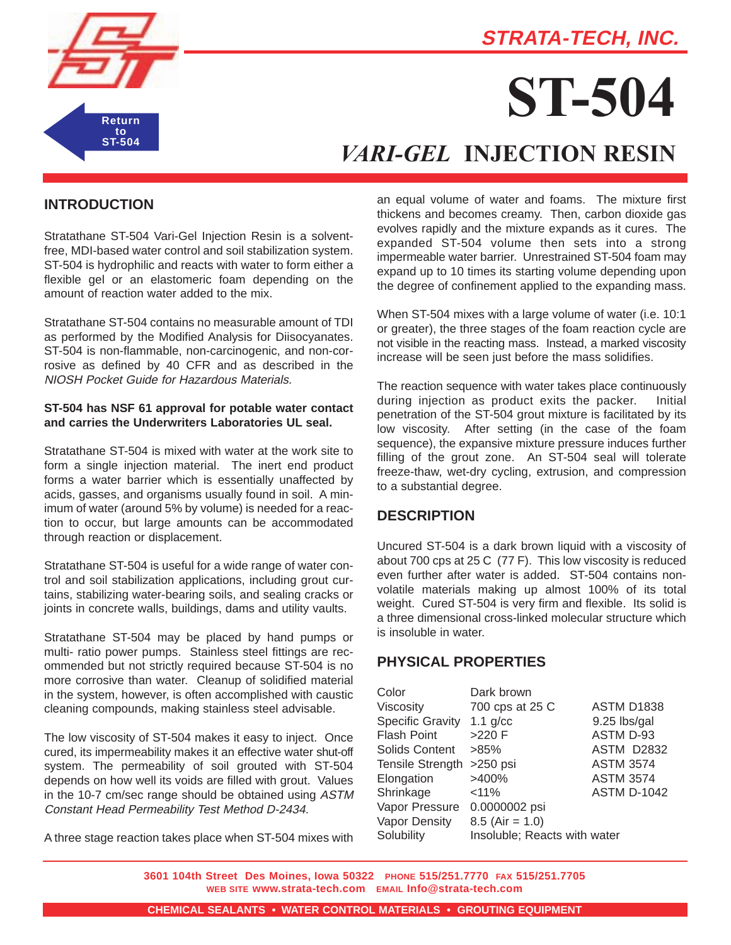# **STRATA-TECH, INC.**



# **ST-504**

# *VARI-GEL* **INJECTION RESIN**

### **INTRODUCTION**

Stratathane ST-504 Vari-Gel Injection Resin is a solventfree, MDI-based water control and soil stabilization system. ST-504 is hydrophilic and reacts with water to form either a flexible gel or an elastomeric foam depending on the amount of reaction water added to the mix.

Stratathane ST-504 contains no measurable amount of TDI as performed by the Modified Analysis for Diisocyanates. ST-504 is non-flammable, non-carcinogenic, and non-corrosive as defined by 40 CFR and as described in the NIOSH Pocket Guide for Hazardous Materials.

#### **ST-504 has NSF 61 approval for potable water contact and carries the Underwriters Laboratories UL seal.**

Stratathane ST-504 is mixed with water at the work site to form a single injection material. The inert end product forms a water barrier which is essentially unaffected by acids, gasses, and organisms usually found in soil. A minimum of water (around 5% by volume) is needed for a reaction to occur, but large amounts can be accommodated through reaction or displacement.

Stratathane ST-504 is useful for a wide range of water control and soil stabilization applications, including grout curtains, stabilizing water-bearing soils, and sealing cracks or joints in concrete walls, buildings, dams and utility vaults.

Stratathane ST-504 may be placed by hand pumps or multi- ratio power pumps. Stainless steel fittings are recommended but not strictly required because ST-504 is no more corrosive than water. Cleanup of solidified material in the system, however, is often accomplished with caustic cleaning compounds, making stainless steel advisable.

The low viscosity of ST-504 makes it easy to inject. Once cured, its impermeability makes it an effective water shut-off system. The permeability of soil grouted with ST-504 depends on how well its voids are filled with grout. Values in the 10-7 cm/sec range should be obtained using ASTM Constant Head Permeability Test Method D-2434.

A three stage reaction takes place when ST-504 mixes with

an equal volume of water and foams. The mixture first thickens and becomes creamy. Then, carbon dioxide gas evolves rapidly and the mixture expands as it cures. The expanded ST-504 volume then sets into a strong impermeable water barrier. Unrestrained ST-504 foam may expand up to 10 times its starting volume depending upon the degree of confinement applied to the expanding mass.

When ST-504 mixes with a large volume of water (i.e. 10:1 or greater), the three stages of the foam reaction cycle are not visible in the reacting mass. Instead, a marked viscosity increase will be seen just before the mass solidifies.

The reaction sequence with water takes place continuously during injection as product exits the packer. Initial penetration of the ST-504 grout mixture is facilitated by its low viscosity. After setting (in the case of the foam sequence), the expansive mixture pressure induces further filling of the grout zone. An ST-504 seal will tolerate freeze-thaw, wet-dry cycling, extrusion, and compression to a substantial degree.

### **DESCRIPTION**

Uncured ST-504 is a dark brown liquid with a viscosity of about 700 cps at 25 C (77 F). This low viscosity is reduced even further after water is added. ST-504 contains nonvolatile materials making up almost 100% of its total weight. Cured ST-504 is very firm and flexible. Its solid is a three dimensional cross-linked molecular structure which is insoluble in water.

### **PHYSICAL PROPERTIES**

| Color                     | Dark brown                   |                    |
|---------------------------|------------------------------|--------------------|
| Viscosity                 | 700 cps at 25 C              | <b>ASTM D1838</b>  |
| <b>Specific Gravity</b>   | 1.1 $g/cc$                   | 9.25 lbs/gal       |
| <b>Flash Point</b>        | $>220$ F                     | ASTM D-93          |
| Solids Content            | $>85\%$                      | <b>ASTM D2832</b>  |
| Tensile Strength >250 psi |                              | <b>ASTM 3574</b>   |
| Elongation                | >400%                        | <b>ASTM 3574</b>   |
| Shrinkage                 | < 11%                        | <b>ASTM D-1042</b> |
| Vapor Pressure            | 0.0000002 psi                |                    |
| Vapor Density             | $8.5$ (Air = 1.0)            |                    |
| Solubility                | Insoluble; Reacts with water |                    |

**3601 104th Street Des Moines, Iowa 50322 PHONE 515/251.7770 FAX 515/251.7705 WEB SITE www.strata-tech.com EMAIL Info@strata-tech.com**